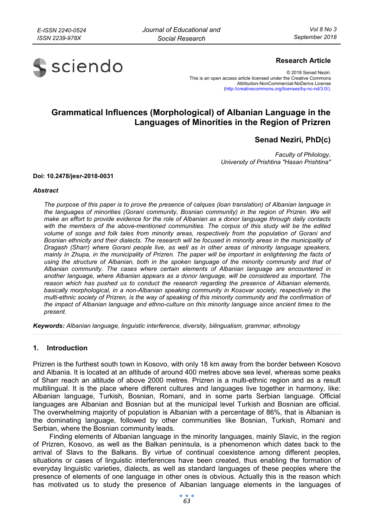

## **Research Article**

© 2018 Senad Neziri. This is an open access article licensed under the Creative Commons Attribution-NonCommercial-NoDerivs License (http://creativecommons.org/licenses/by-nc-nd/3.0/).

# **Grammatical Influences (Morphological) of Albanian Language in the Languages of Minorities in the Region of Prizren**

**Senad Neziri, PhD(c)** 

*Faculty of Philology, University of Prishtina "Hasan Prishtina"* 

#### **Doi: 10.2478/jesr-2018-0031**

#### *Abstract*

*The purpose of this paper is to prove the presence of calques (loan translation) of Albanian language in*  the languages of minorities (Gorani community, Bosnian community) in the region of Prizren. We will *make an effort to provide evidence for the role of Albanian as a donor language through daily contacts with the members of the above-mentioned communities. The corpus of this study will be the edited volume of songs and folk tales from minority areas, respectively from the population of Gorani and Bosnian ethnicity and their dialects. The research will be focused in minority areas in the municipality of Dragash (Sharr) where Gorani people live, as well as in other areas of minority language speakers, mainly in Zhupa, in the municipality of Prizren. The paper will be important in enlightening the facts of using the structure of Albanian, both in the spoken language of the minority community and that of Albanian community. The cases where certain elements of Albanian language are encountered in another language, where Albanian appears as a donor language, will be considered as important. The reason which has pushed us to conduct the research regarding the presence of Albanian elements, basically morphological, in a non-Albanian speaking community in Kosovar society, respectively in the multi-ethnic society of Prizren, is the way of speaking of this minority community and the confirmation of the impact of Albanian language and ethno-culture on this minority language since ancient times to the present.* 

*Keywords: Albanian language, linguistic interference, diversity, bilingualism, grammar, ethnology* 

## **1. Introduction**

Prizren is the furthest south town in Kosovo, with only 18 km away from the border between Kosovo and Albania. It is located at an altitude of around 400 metres above sea level, whereas some peaks of Sharr reach an altitude of above 2000 metres. Prizren is a multi-ethnic region and as a result multilingual. It is the place where different cultures and languages live together in harmony, like: Albanian language, Turkish, Bosnian, Romani, and in some parts Serbian language. Official languages are Albanian and Bosnian but at the municipal level Turkish and Bosnian are official. The overwhelming majority of population is Albanian with a percentage of 86%, that is Albanian is the dominating language, followed by other communities like Bosnian, Turkish, Romani and Serbian, where the Bosnian community leads.

Finding elements of Albanian language in the minority languages, mainly Slavic, in the region of Prizren, Kosovo, as well as the Balkan peninsula, is a phenomenon which dates back to the arrival of Slavs to the Balkans. By virtue of continual coexistence among different peoples, situations or cases of linguistic interferences have been created, thus enabling the formation of everyday linguistic varieties, dialects, as well as standard languages of these peoples where the presence of elements of one language in other ones is obvious. Actually this is the reason which has motivated us to study the presence of Albanian language elements in the languages of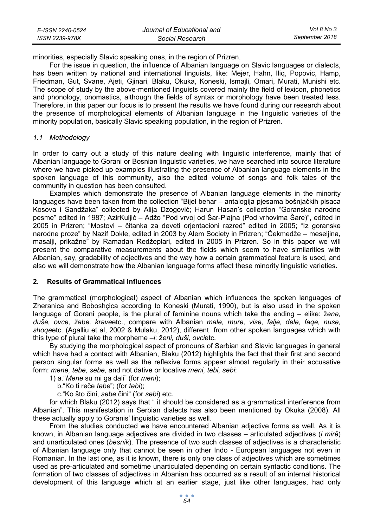| E-ISSN 2240-0524 | Journal of Educational and | Vol 8 No 3     |
|------------------|----------------------------|----------------|
| ISSN 2239-978X   | Social Research            | September 2018 |

minorities, especially Slavic speaking ones, in the region of Prizren.

For the issue in question, the influence of Albanian language on Slavic languages or dialects, has been written by national and international linguists, like: Mejer, Hahn, Iliq, Popovic, Hamp, Friedman, Gut, Svane, Ajeti, Gjinari, Blaku, Okuka, Koneski, Ismajli, Omari, Murati, Munishi etc. The scope of study by the above-mentioned linguists covered mainly the field of lexicon, phonetics and phonology, onomastics, although the fields of syntax or morphology have been treated less. Therefore, in this paper our focus is to present the results we have found during our research about the presence of morphological elements of Albanian language in the linguistic varieties of the minority population, basically Slavic speaking population, in the region of Prizren.

## *1.1 Methodology*

In order to carry out a study of this nature dealing with linguistic interference, mainly that of Albanian language to Gorani or Bosnian linguistic varieties, we have searched into source literature where we have picked up examples illustrating the presence of Albanian language elements in the spoken language of this community, also the edited volume of songs and folk tales of the community in question has been consulted.

Examples which demonstrate the presence of Albanian language elements in the minority languages have been taken from the collection "Bijel behar – antalogija pjesama bošnjačkih pisaca Kosova i Sandžaka" collected by Alija Dzogović; Harun Hasan's collection "Goranske narodne pesme" edited in 1987; AzirKuljić – Adžo "Pod vrvoj od Šar-Plajna (Pod vrhovima Šare)", edited in 2005 in Prizren; "Mostovi – čitanka za deveti orjentacioni razred" edited in 2005; "Iz goranske narodne proze" by Nazif Dokle, edited in 2003 by Alem Society in Prizren; "Čekmedže – meseljina, masalji, prikažne" by Ramadan Redžeplari, edited in 2005 in Prizren. So in this paper we will present the comparative measurements about the fields which seem to have similarities with Albanian, say, gradability of adjectives and the way how a certain grammatical feature is used, and also we will demonstrate how the Albanian language forms affect these minority linguistic varieties.

## **2. Results of Grammatical Influences**

The grammatical (morphological) aspect of Albanian which influences the spoken languages of Zheranica and Boboshçica according to Koneski (Murati, 1990), but is also used in the spoken language of Gorani people, is the plural of feminine nouns which take the ending – *e*like: ž*ene, duše, ovce, žabe, krave*etc., compare with Albanian *male, mure, vise, falje, dele, faqe, nuse, shoqe*etc. (Agalliu et al, 2002 & Mulaku, 2012), different from other spoken languages which with this type of plural take the morpheme –*i*: ž*eni, duši, ovci*etc.

By studying the morphological aspect of pronouns of Serbian and Slavic languages in general which have had a contact with Albanian, Blaku (2012) highlights the fact that their first and second person singular forms as well as the reflexive forms appear almost regularly in their accusative form: *mene, tebe, sebe,* and not dative or locative *meni, tebi, sebi*:

1) a."*Mene* su mi ga dali" (for *meni*);

b."Ko ti reče *tebe*"; (for *tebi*);

c."Ko što čini, *sebe* čini" (for *sebi*) etc.

for which Blaku (2012) says that " it should be considered as a grammatical interference from Albanian". This manifestation in Serbian dialects has also been mentioned by Okuka (2008). All these actually apply to Goranis' linguistic varieties as well.

From the studies conducted we have encountered Albanian adjective forms as well. As it is known, in Albanian language adjectives are divided in two classes – articulated adjectives (*i mirë*) and unarticulated ones (*besnik*). The presence of two such classes of adjectives is a characteristic of Albanian language only that cannot be seen in other Indo - European languages not even in Romanian. In the last one, as it is known, there is only one class of adjectives which are sometimes used as pre-articulated and sometime unarticulated depending on certain syntactic conditions. The formation of two classes of adjectives in Albanian has occurred as a result of an internal historical development of this language which at an earlier stage, just like other languages, had only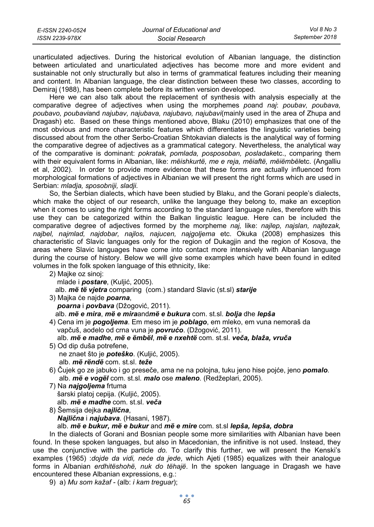| E-ISSN 2240-0524 | Journal of Educational and | Vol 8 No 3     |
|------------------|----------------------------|----------------|
| ISSN 2239-978X   | Social Research            | September 2018 |

unarticulated adjectives. During the historical evolution of Albanian language, the distinction between articulated and unarticulated adjectives has become more and more evident and sustainable not only structurally but also in terms of grammatical features including their meaning and content. In Albanian language, the clear distinction between these two classes, according to Demiraj (1988), has been complete before its written version developed.

Here we can also talk about the replacement of synthesis with analysis especially at the comparative degree of adjectives when using the morphemes *po*and *naj*: *poubav, poubava, poubavo, poubavi*and *najubav, najubava, najubavo, najubavi*(mainly used in the area of Zhupa and Dragash) etc. Based on these things mentioned above, Blaku (2010) emphasizes that one of the most obvious and more characteristic features which differentiates the linguistic varieties being discussed about from the other Serbo-Croatian Shtokavian dialects is the analytical way of forming the comparative degree of adjectives as a grammatical category. Nevertheless, the analytical way of the comparative is dominant: *pokratak, pomlada, posposoban, posladak*etc., comparing them with their equivalent forms in Albanian, like: *mëishkurtë, me e reja, mëiaftë, mëiëmbël*etc. (Angalliu et al, 2002). In order to provide more evidence that these forms are actually influenced from morphological formations of adjectives in Albanian we will present the right forms which are used in Serbian: *mladja, sposobniji, sladji.* 

So, the Serbian dialects, which have been studied by Blaku, and the Gorani people's dialects, which make the object of our research, unlike the language they belong to, make an exception when it comes to using the right forms according to the standard language rules, therefore with this use they can be categorized within the Balkan linguistic league. Here can be included the comparative degree of adjectives formed by the morpheme *naj,* like: *najlep, najslan, najtezak, najbel, najmlad, najdobar, najlos, najucen, najgoljema* etc. Okuka (2008) emphasizes this characteristic of Slavic languages only for the region of Dukagjin and the region of Kosova, the areas where Slavic languages have come into contact more intensively with Albanian language during the course of history. Below we will give some examples which have been found in edited volumes in the folk spoken language of this ethnicity, like:

2) Majke oz sinoj:

mlade i *postare*, (Kuljić, 2005).

alb. *më të vjetra* comparing (com.) standard Slavic (st.sl) *starije*

- 3) Majka će najde *poarna*,  *poarna* i *povbava* (Džogović, 2011). alb. *më e mira*, *më e mira*and*më e bukura* com. st.sl. *bolja* dhe *lepša*
- 4) Cena im je *pogoljema*. Em meso im je *poblago*, em mleko, em vuna nemoraš da vapčuš, aodelo od crna vuna je *povrućo*. (Džogović, 2011).
	- alb. *më e madhe*, *më e ëmbël*, *më e nxehtë* com. st.sl. *veča, blaža, vruča*
- 5) Od dip duša potrefene, ne znaet što je *poteško*. (Kuljić, 2005). alb. *më rëndë* com. st.sl. *teže*
- 6) Čujek go ze jabuko i go preseče, ama ne na polojna, tuku jeno hise pojće, jeno *pomalo.* alb. *më e vogël* com. st.sl. *malo* ose *maleno*. (Redžeplari, 2005).
- 7) Na *najgoljema* frtuma šarski platoj cepija. (Kuljić, 2005). alb. *më e madhe* com. st.sl. *veča*
- 8) Šemsija dejka *najlična*,  *Najlična* i *najubava*. (Hasani, 1987).

# alb. *më e bukur, më e bukur* and *më e mire* com. st.sl *lepša, lepša, dobra*

In the dialects of Gorani and Bosnian people some more similarities with Albanian have been found. In these spoken languages, but also in Macedonian, the infinitive is not used. Instead, they use the conjunctive with the particle *do.* To clarify this further, we will present the Kenski's examples (1965) :*dojde da vidi, neće da jede*, which Ajeti (1985) equalizes with their analogue forms in Albanian *erdhitëshohë, nuk do tëhajë*. In the spoken language in Dragash we have encountered these Albanian expressions, e.g.:

9) a) *Mu som kažaf -* (alb: *i kam treguar*);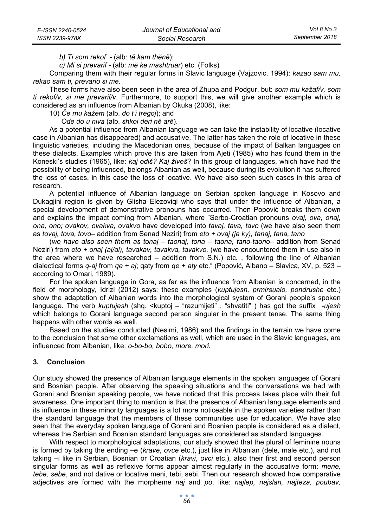*b) Ti som rekof -* (alb: *të kam thënë*);

 *c) Mi si prevarif -* (alb: *më ke mashtruar*) etc. (Folks)

Comparing them with their regular forms in Slavic language (Vajzovic, 1994): *kazao sam mu, rekao sam ti, prevario si me*.

These forms have also been seen in the area of Zhupa and Podgur, but: *som mu kažaf/v, som ti rekof/v, si me prevarif/v*. Furthermore, to support this, we will give another example which is considered as an influence from Albanian by Okuka (2008), like:

10) *Če mu kažem* (alb. *do t'i tregoj*); and

 *Ode do u niva* (alb. *shkoi deri në arë*).

As a potential influence from Albanian language we can take the instability of locative (locative case in Albanian has disappeared) and accusative. The latter has taken the role of locative in these linguistic varieties, including the Macedonian ones, because of the impact of Balkan languages on these dialects. Examples which prove this are taken from Ajeti (1985) who has found them in the Koneski's studies (1965), like: *kaj odiš? Kaj živeš*? In this group of languages, which have had the possibility of being influenced, belongs Albanian as well, because during its evolution it has suffered the loss of cases, in this case the loss of locative. We have also seen such cases in this area of research.

A potential influence of Albanian language on Serbian spoken language in Kosovo and Dukagjini region is given by Glisha Elezoviqi who says that under the influence of Albanian, a special development of demonstrative pronouns has occurred. Then Popović breaks them down and explains the impact coming from Albanian, where "Serbo-Croatian pronouns *ovaj, ova, onaj, ona, ono; ovakov, ovakva, ovakvo* have developed into *tavaj, tava, tavo* (we have also seen them as *tovaj, tova, tovo*– addition from Senad Neziri) from *eto + ovaj (ja ky), tanaj, tana, tano*

(*we have also seen them as tonaj – taonaj, tona – taona, tano-taono*– addition from Senad Neziri) from *eto + onaj (aj/ai), tavakav, tavakva, tavakvo,* (we have encountered them in use also in the area where we have researched – addition from S.N.) etc. , following the line of Albanian dialectical forms *q-aj* from *qe + aj*; qaty from *qe + aty* etc." (Popović, Albano – Slavica, XV, p. 523 – according to Omari, 1989).

For the spoken language in Gora, as far as the influence from Albanian is concerned, in the field of morphology, Idrizi (2012) says: these examples (*kuptujesh, prmirsualo, pondrushe* etc.) show the adaptation of Albanian words into the morphological system of Gorani people's spoken language. The verb *kuptujesh* (shq. <kuptoj – "razumijeti" , "shvatiti" ) has got the suffix -*ujesh* which belongs to Gorani language second person singular in the present tense. The same thing happens with other words as well.

Based on the studies conducted (Nesimi, 1986) and the findings in the terrain we have come to the conclusion that some other exclamations as well, which are used in the Slavic languages, are influenced from Albanian, like: *o-bo-bo, bobo, more, mori*.

## **3. Conclusion**

Our study showed the presence of Albanian language elements in the spoken languages of Gorani and Bosnian people. After observing the speaking situations and the conversations we had with Gorani and Bosnian speaking people, we have noticed that this process takes place with their full awareness. One important thing to mention is that the presence of Albanian language elements and its influence in these minority languages is a lot more noticeable in the spoken varieties rather than the standard language that the members of these communities use for education. We have also seen that the everyday spoken language of Gorani and Bosnian people is considered as a dialect, whereas the Serbian and Bosnian standard languages are considered as standard languages.

With respect to morphological adaptations, our study showed that the plural of feminine nouns is formed by taking the ending –e (*krave*, *ovce* etc.), just like in Albanian (dele, male etc.), and not taking –i like in Serbian, Bosnian or Croatian (*kravi*, *ovci* etc.), also their first and second person singular forms as well as reflexive forms appear almost regularly in the accusative form: *mene, tebe, sebe*, and not dative or locative meni, tebi, sebi. Then our research showed how comparative adjectives are formed with the morpheme *naj* and *po*, like: *najlep, najslan, najteza, poubav,*